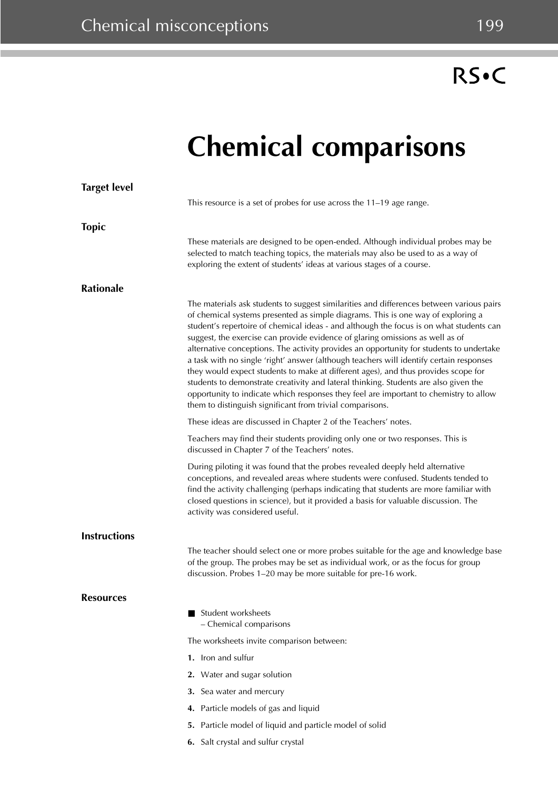#### RS.C

#### **Chemical comparisons**

| <b>Target level</b> |                                                                                                                                                                                                                                                                                                                                                                                                                                                                                                                                                                                                                                                                                                                                                                                                                                                                                    |
|---------------------|------------------------------------------------------------------------------------------------------------------------------------------------------------------------------------------------------------------------------------------------------------------------------------------------------------------------------------------------------------------------------------------------------------------------------------------------------------------------------------------------------------------------------------------------------------------------------------------------------------------------------------------------------------------------------------------------------------------------------------------------------------------------------------------------------------------------------------------------------------------------------------|
|                     | This resource is a set of probes for use across the 11–19 age range.                                                                                                                                                                                                                                                                                                                                                                                                                                                                                                                                                                                                                                                                                                                                                                                                               |
| <b>Topic</b>        |                                                                                                                                                                                                                                                                                                                                                                                                                                                                                                                                                                                                                                                                                                                                                                                                                                                                                    |
|                     | These materials are designed to be open-ended. Although individual probes may be<br>selected to match teaching topics, the materials may also be used to as a way of<br>exploring the extent of students' ideas at various stages of a course.                                                                                                                                                                                                                                                                                                                                                                                                                                                                                                                                                                                                                                     |
| <b>Rationale</b>    |                                                                                                                                                                                                                                                                                                                                                                                                                                                                                                                                                                                                                                                                                                                                                                                                                                                                                    |
|                     | The materials ask students to suggest similarities and differences between various pairs<br>of chemical systems presented as simple diagrams. This is one way of exploring a<br>student's repertoire of chemical ideas - and although the focus is on what students can<br>suggest, the exercise can provide evidence of glaring omissions as well as of<br>alternative conceptions. The activity provides an opportunity for students to undertake<br>a task with no single 'right' answer (although teachers will identify certain responses<br>they would expect students to make at different ages), and thus provides scope for<br>students to demonstrate creativity and lateral thinking. Students are also given the<br>opportunity to indicate which responses they feel are important to chemistry to allow<br>them to distinguish significant from trivial comparisons. |
|                     | These ideas are discussed in Chapter 2 of the Teachers' notes.                                                                                                                                                                                                                                                                                                                                                                                                                                                                                                                                                                                                                                                                                                                                                                                                                     |
|                     | Teachers may find their students providing only one or two responses. This is<br>discussed in Chapter 7 of the Teachers' notes.                                                                                                                                                                                                                                                                                                                                                                                                                                                                                                                                                                                                                                                                                                                                                    |
|                     | During piloting it was found that the probes revealed deeply held alternative<br>conceptions, and revealed areas where students were confused. Students tended to<br>find the activity challenging (perhaps indicating that students are more familiar with<br>closed questions in science), but it provided a basis for valuable discussion. The<br>activity was considered useful.                                                                                                                                                                                                                                                                                                                                                                                                                                                                                               |
| <b>Instructions</b> |                                                                                                                                                                                                                                                                                                                                                                                                                                                                                                                                                                                                                                                                                                                                                                                                                                                                                    |
|                     | The teacher should select one or more probes suitable for the age and knowledge base<br>of the group. The probes may be set as individual work, or as the focus for group<br>discussion. Probes 1-20 may be more suitable for pre-16 work.                                                                                                                                                                                                                                                                                                                                                                                                                                                                                                                                                                                                                                         |
| <b>Resources</b>    |                                                                                                                                                                                                                                                                                                                                                                                                                                                                                                                                                                                                                                                                                                                                                                                                                                                                                    |
|                     | Student worksheets<br>- Chemical comparisons                                                                                                                                                                                                                                                                                                                                                                                                                                                                                                                                                                                                                                                                                                                                                                                                                                       |
|                     | The worksheets invite comparison between:                                                                                                                                                                                                                                                                                                                                                                                                                                                                                                                                                                                                                                                                                                                                                                                                                                          |
|                     | 1. Iron and sulfur                                                                                                                                                                                                                                                                                                                                                                                                                                                                                                                                                                                                                                                                                                                                                                                                                                                                 |
|                     | 2. Water and sugar solution                                                                                                                                                                                                                                                                                                                                                                                                                                                                                                                                                                                                                                                                                                                                                                                                                                                        |
|                     | 3. Sea water and mercury                                                                                                                                                                                                                                                                                                                                                                                                                                                                                                                                                                                                                                                                                                                                                                                                                                                           |
|                     | 4. Particle models of gas and liquid                                                                                                                                                                                                                                                                                                                                                                                                                                                                                                                                                                                                                                                                                                                                                                                                                                               |
|                     | 5. Particle model of liquid and particle model of solid                                                                                                                                                                                                                                                                                                                                                                                                                                                                                                                                                                                                                                                                                                                                                                                                                            |
|                     | 6. Salt crystal and sulfur crystal                                                                                                                                                                                                                                                                                                                                                                                                                                                                                                                                                                                                                                                                                                                                                                                                                                                 |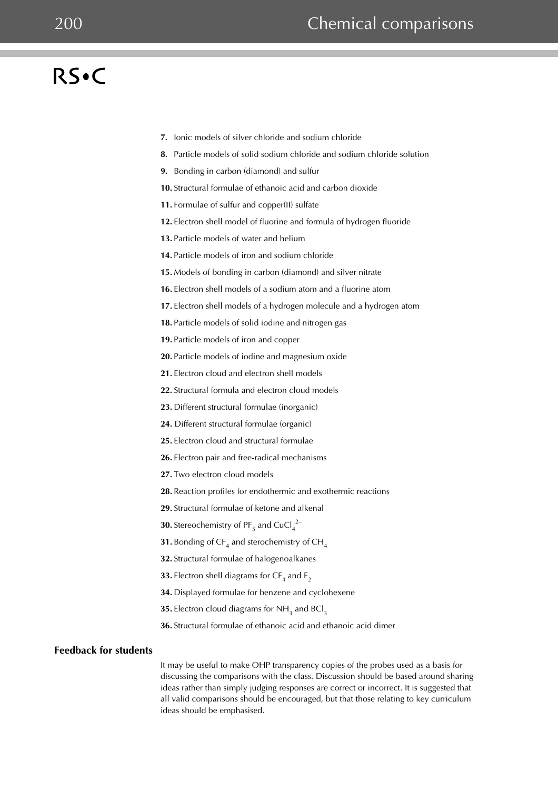#### RS.C

- **8.** Particle models of solid sodium chloride and sodium chloride solution
- **9.** Bonding in carbon (diamond) and sulfur
- **10.** Structural formulae of ethanoic acid and carbon dioxide
- **11.** Formulae of sulfur and copper(II) sulfate
- **12.** Electron shell model of fluorine and formula of hydrogen fluoride
- **13.** Particle models of water and helium
- **14.** Particle models of iron and sodium chloride
- **15.** Models of bonding in carbon (diamond) and silver nitrate
- **16.** Electron shell models of a sodium atom and a fluorine atom
- **17.** Electron shell models of a hydrogen molecule and a hydrogen atom
- **18.** Particle models of solid iodine and nitrogen gas
- **19.** Particle models of iron and copper
- **20.** Particle models of iodine and magnesium oxide
- **21.** Electron cloud and electron shell models
- **22.** Structural formula and electron cloud models
- **23.** Different structural formulae (inorganic)
- **24.** Different structural formulae (organic)
- **25.** Electron cloud and structural formulae
- **26.** Electron pair and free-radical mechanisms
- **27.** Two electron cloud models
- **28.** Reaction profiles for endothermic and exothermic reactions
- **29.** Structural formulae of ketone and alkenal
- **30.** Stereochemistry of  $PF_5$  and CuCl<sub>4</sub><sup>2-</sup>
- **31.** Bonding of  $CF_{4}$  and sterochemistry of  $CH_{4}$
- **32.** Structural formulae of halogenoalkanes
- **33.** Electron shell diagrams for  $CF_{4}$  and  $F_{2}$
- **34.** Displayed formulae for benzene and cyclohexene
- **35.** Electron cloud diagrams for  $NH<sub>3</sub>$  and  $BCI<sub>3</sub>$
- **36.** Structural formulae of ethanoic acid and ethanoic acid dimer

#### **Feedback for students**

It may be useful to make OHP transparency copies of the probes used as a basis for discussing the comparisons with the class. Discussion should be based around sharing ideas rather than simply judging responses are correct or incorrect. It is suggested that all valid comparisons should be encouraged, but that those relating to key curriculum ideas should be emphasised.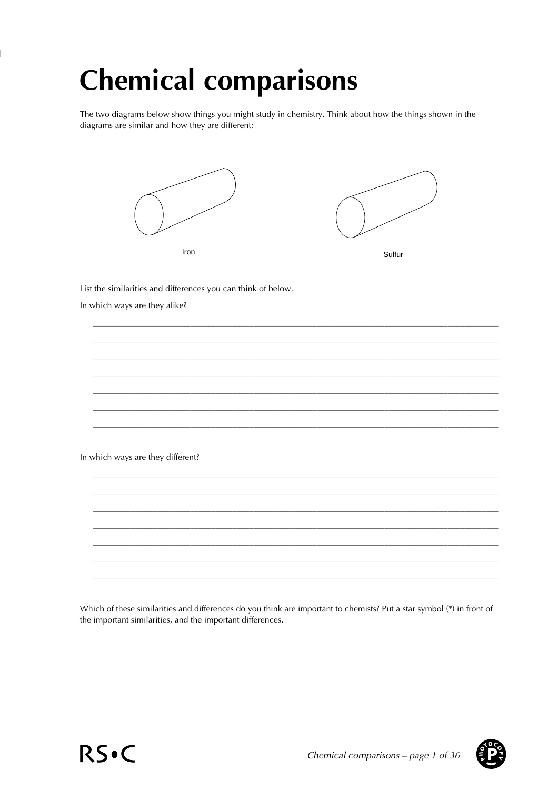The two diagrams below show things you might study in chemistry. Think about how the things shown in the diagrams are similar and how they are different:



List the similarities and differences you can think of below.

In which ways are they alike?

In which ways are they different?



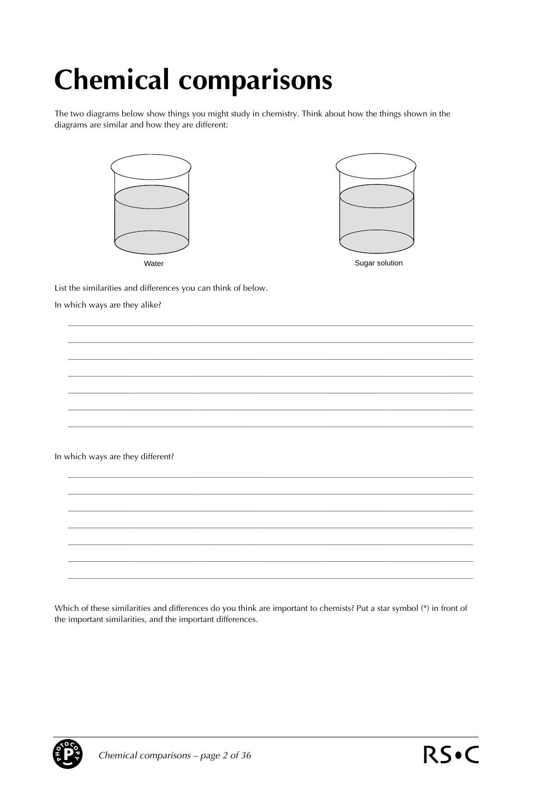The two diagrams below show things you might study in chemistry. Think about how the things shown in the diagrams are similar and how they are different:





List the similarities and differences you can think of below.

In which ways are they alike?

In which ways are they different?

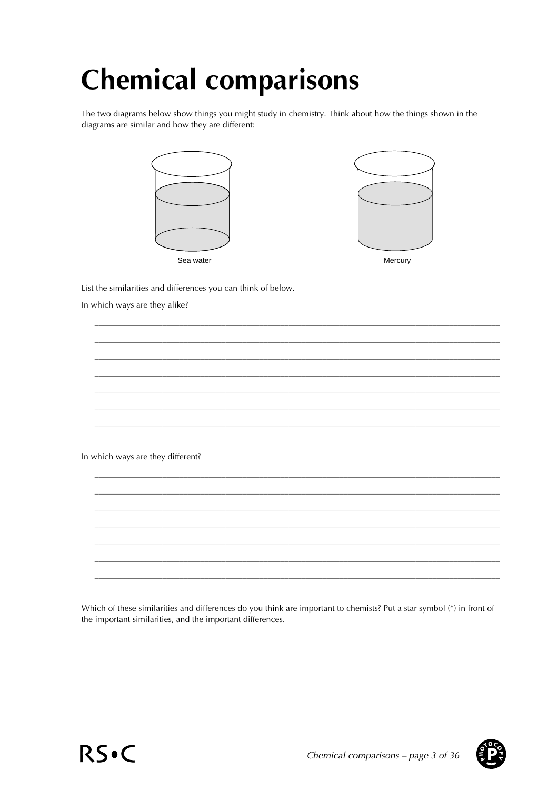The two diagrams below show things you might study in chemistry. Think about how the things shown in the diagrams are similar and how they are different:



List the similarities and differences you can think of below.

In which ways are they alike?

In which ways are they different?



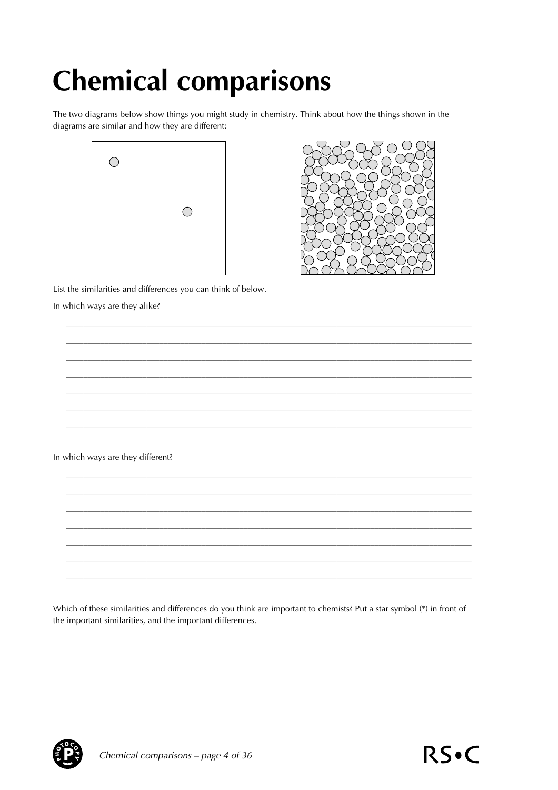The two diagrams below show things you might study in chemistry. Think about how the things shown in the diagrams are similar and how they are different:





List the similarities and differences you can think of below.

In which ways are they alike?

In which ways are they different?

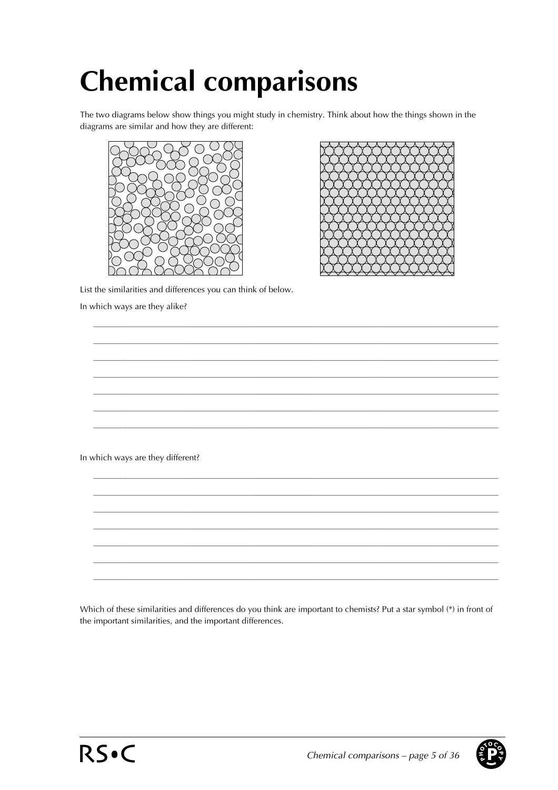The two diagrams below show things you might study in chemistry. Think about how the things shown in the diagrams are similar and how they are different:





List the similarities and differences you can think of below.

In which ways are they alike?

In which ways are they different?

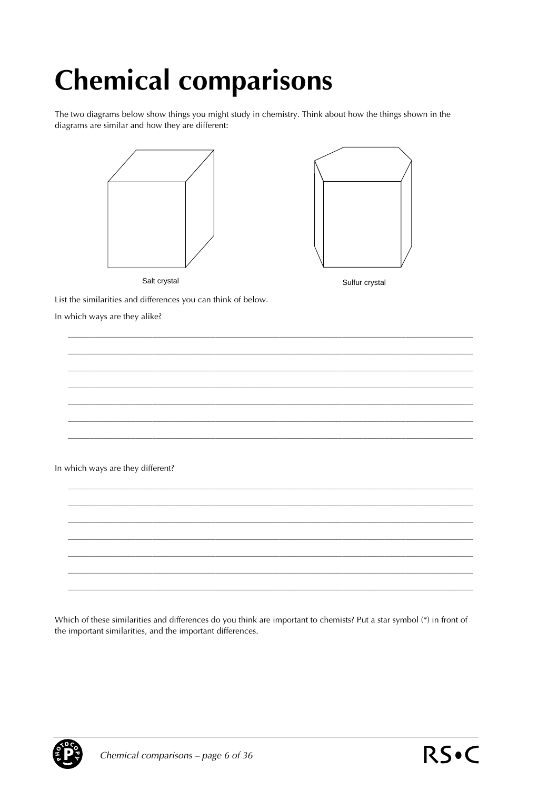The two diagrams below show things you might study in chemistry. Think about how the things shown in the diagrams are similar and how they are different:





Sulfur crystal

List the similarities and differences you can think of below.

In which ways are they alike?

In which ways are they different?

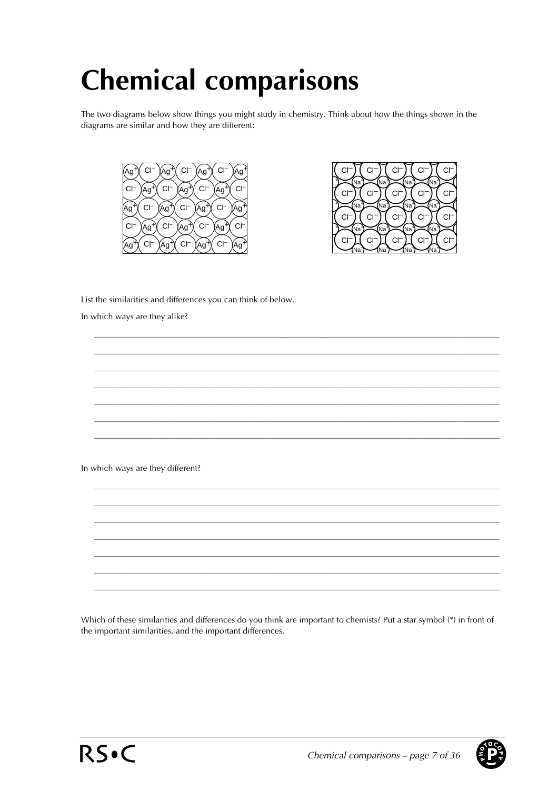The two diagrams below show things you might study in chemistry. Think about how the things shown in the diagrams are similar and how they are different:





List the similarities and differences you can think of below.

In which ways are they alike?

In which ways are they different?



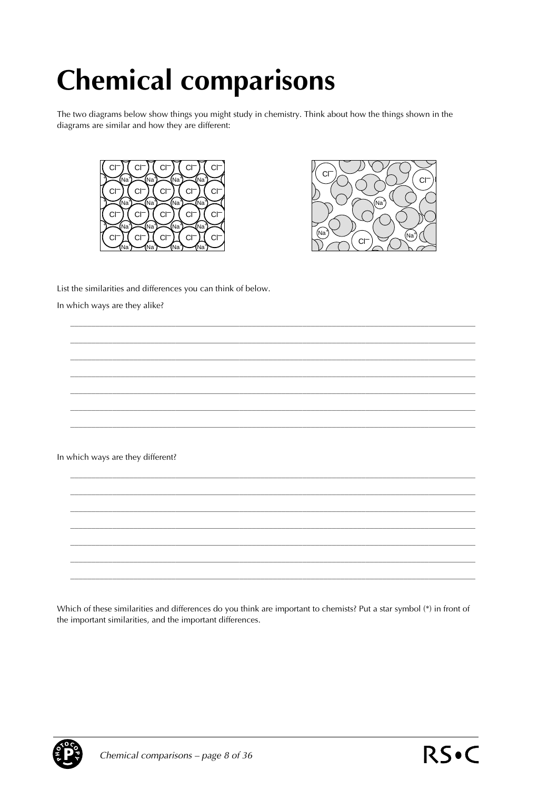The two diagrams below show things you might study in chemistry. Think about how the things shown in the diagrams are similar and how they are different:





List the similarities and differences you can think of below.

In which ways are they alike?

In which ways are they different?

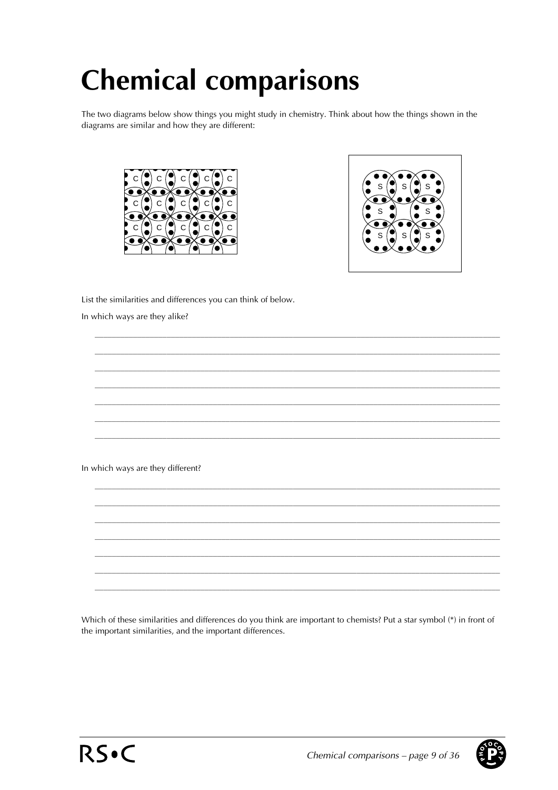The two diagrams below show things you might study in chemistry. Think about how the things shown in the diagrams are similar and how they are different:





List the similarities and differences you can think of below.

In which ways are they alike?

In which ways are they different?



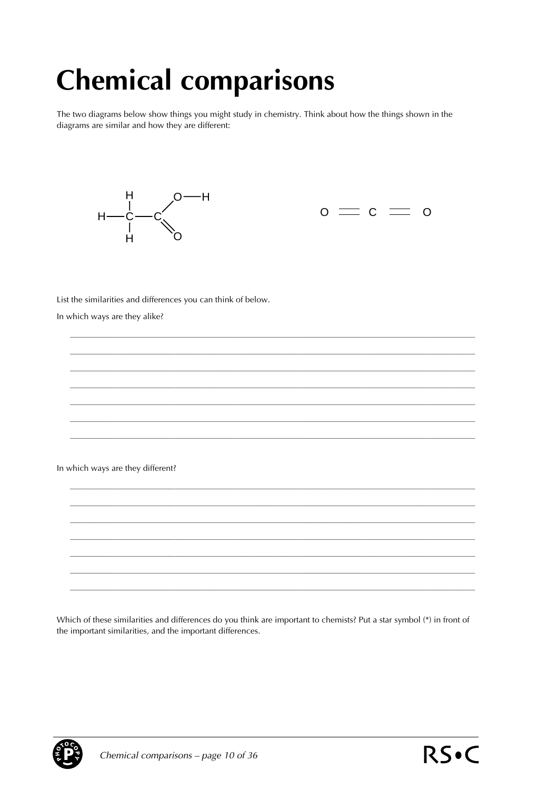The two diagrams below show things you might study in chemistry. Think about how the things shown in the diagrams are similar and how they are different:





List the similarities and differences you can think of below.

In which ways are they alike?

In which ways are they different?

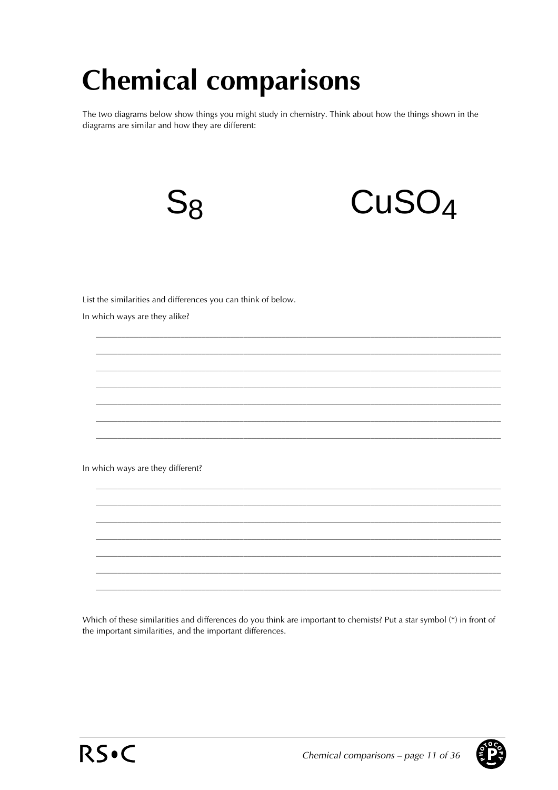The two diagrams below show things you might study in chemistry. Think about how the things shown in the diagrams are similar and how they are different:





List the similarities and differences you can think of below.

In which ways are they alike?

In which ways are they different?



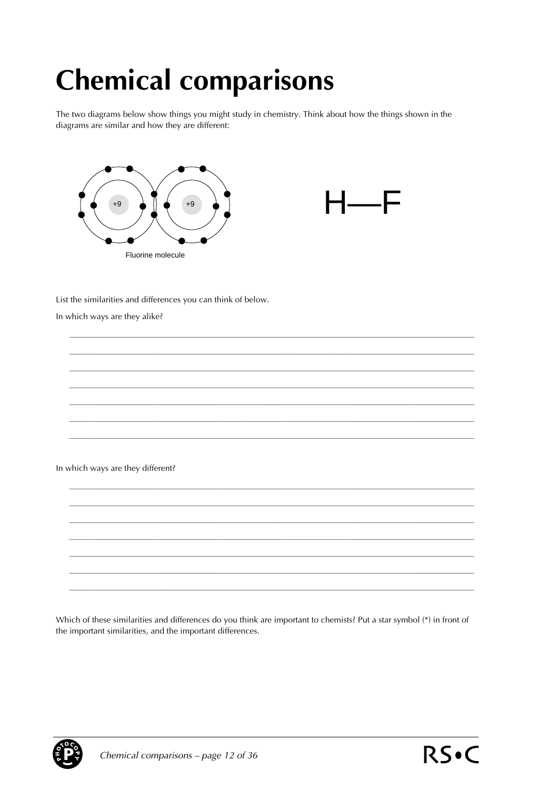The two diagrams below show things you might study in chemistry. Think about how the things shown in the diagrams are similar and how they are different:





List the similarities and differences you can think of below.

In which ways are they alike?

In which ways are they different?

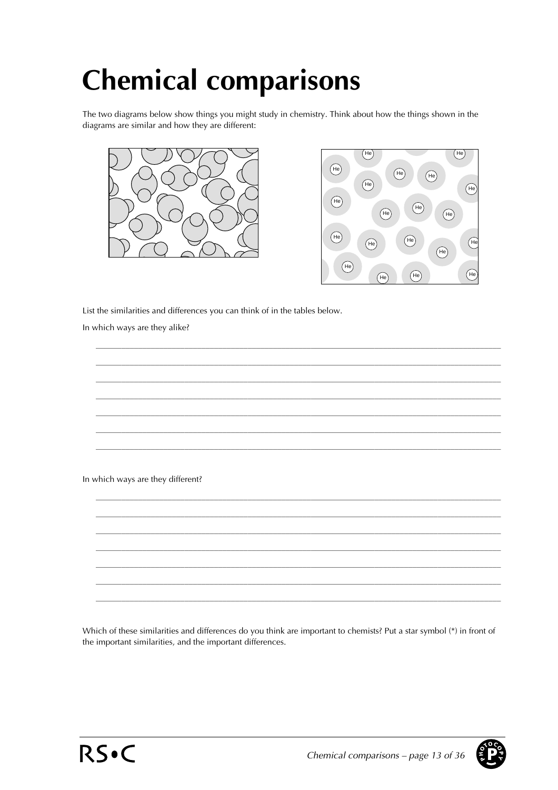The two diagrams below show things you might study in chemistry. Think about how the things shown in the diagrams are similar and how they are different:





List the similarities and differences you can think of in the tables below.

In which ways are they alike?

In which ways are they different?



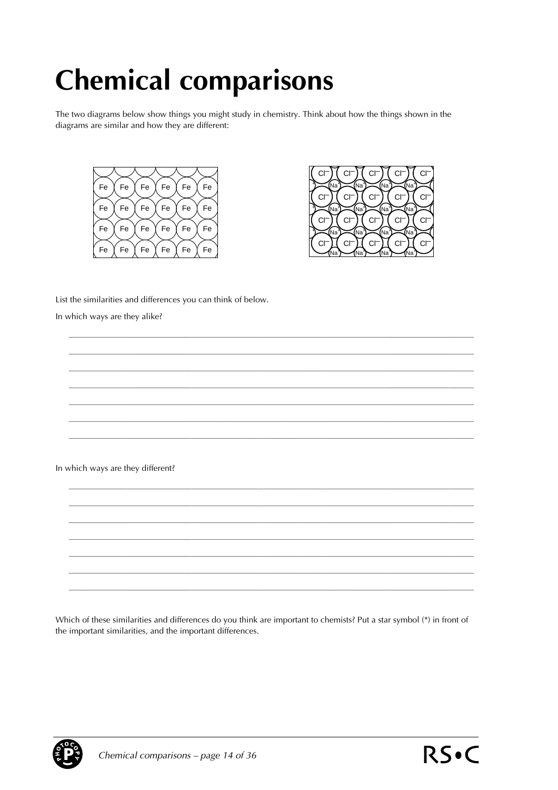The two diagrams below show things you might study in chemistry. Think about how the things shown in the diagrams are similar and how they are different:





List the similarities and differences you can think of below.

In which ways are they alike?

In which ways are they different?

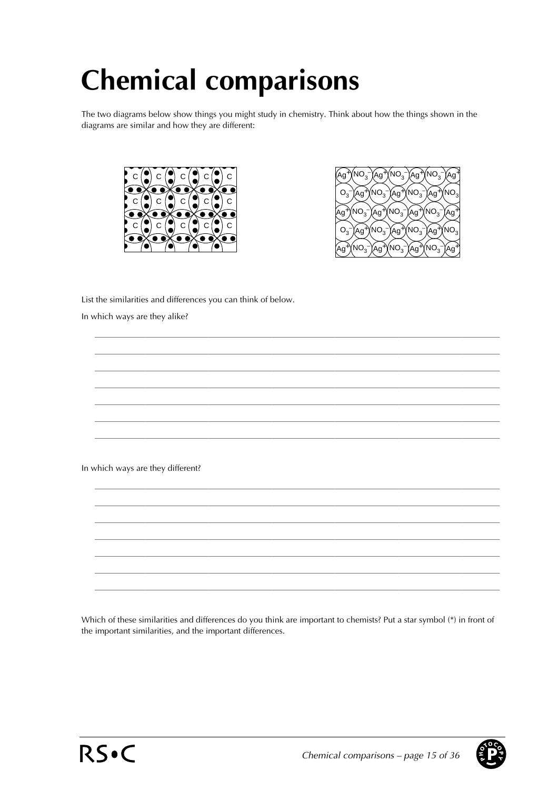The two diagrams below show things you might study in chemistry. Think about how the things shown in the diagrams are similar and how they are different:





List the similarities and differences you can think of below.

In which ways are they alike?

In which ways are they different?



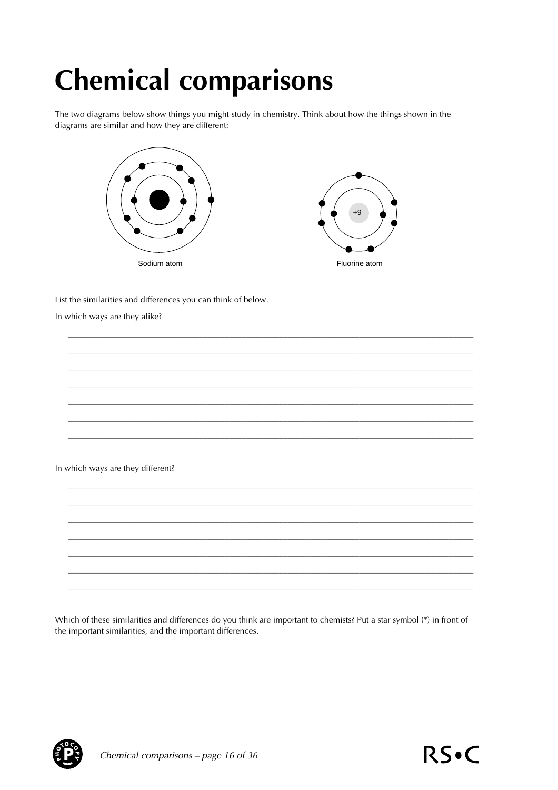The two diagrams below show things you might study in chemistry. Think about how the things shown in the diagrams are similar and how they are different:





List the similarities and differences you can think of below.

In which ways are they alike?

In which ways are they different?

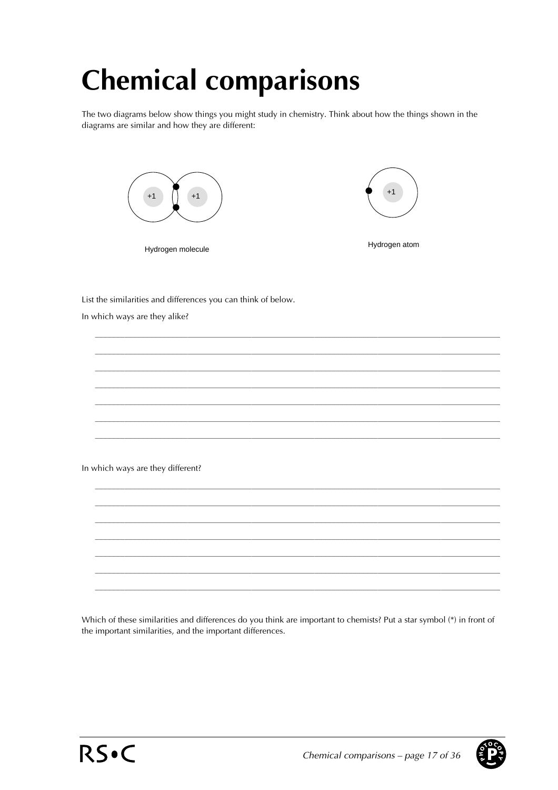The two diagrams below show things you might study in chemistry. Think about how the things shown in the diagrams are similar and how they are different:





Hydrogen atom

List the similarities and differences you can think of below.

In which ways are they alike?

In which ways are they different?

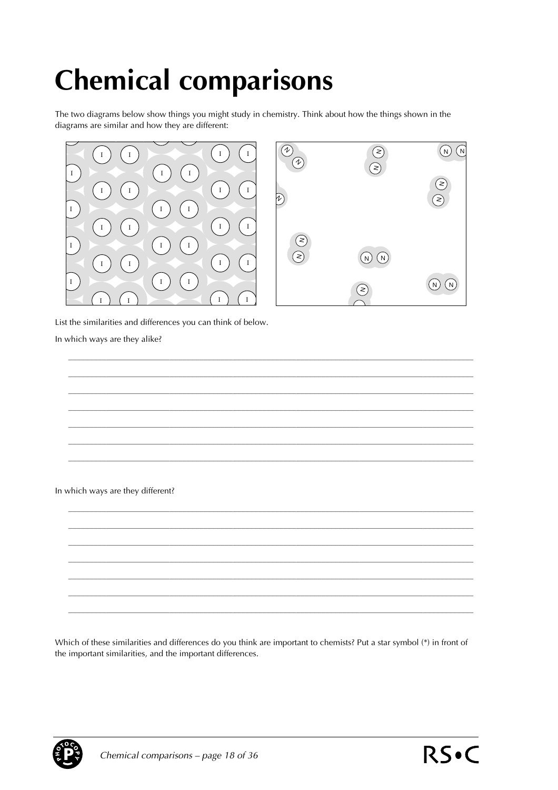The two diagrams below show things you might study in chemistry. Think about how the things shown in the diagrams are similar and how they are different:



List the similarities and differences you can think of below.

In which ways are they alike?

In which ways are they different?

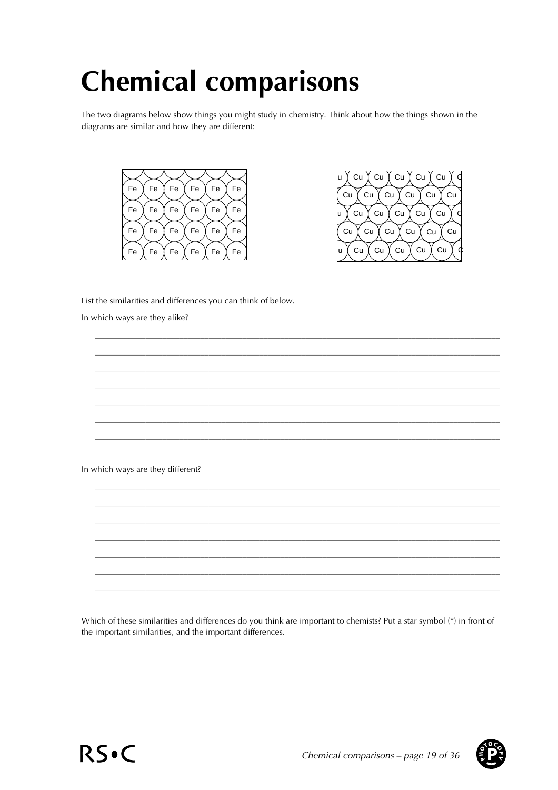The two diagrams below show things you might study in chemistry. Think about how the things shown in the diagrams are similar and how they are different:





List the similarities and differences you can think of below.

In which ways are they alike?

In which ways are they different?



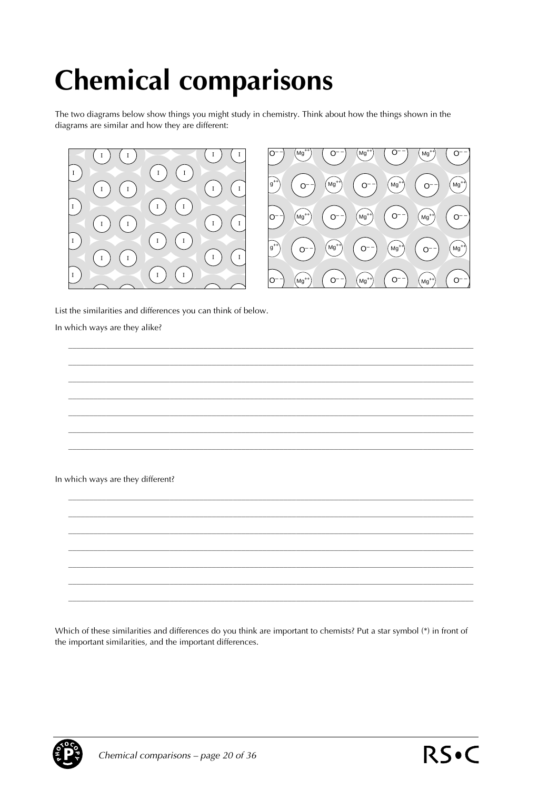The two diagrams below show things you might study in chemistry. Think about how the things shown in the diagrams are similar and how they are different:





List the similarities and differences you can think of below.

In which ways are they alike?

In which ways are they different?

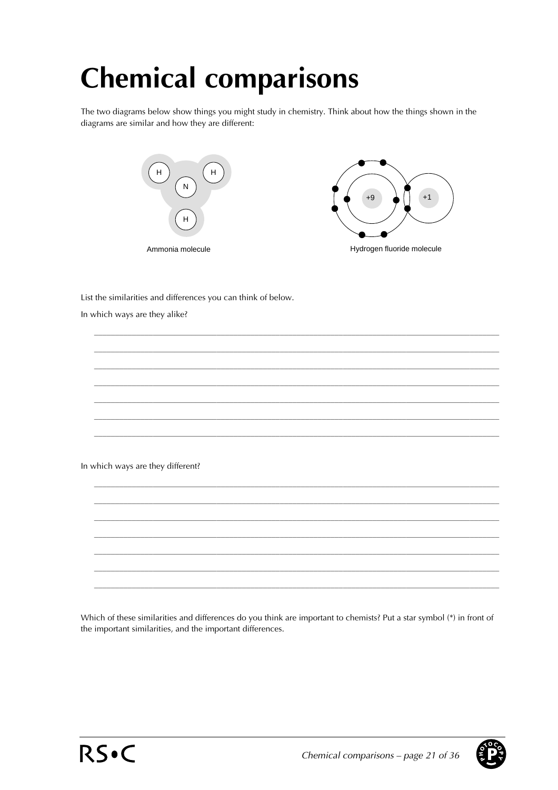The two diagrams below show things you might study in chemistry. Think about how the things shown in the diagrams are similar and how they are different:





Hydrogen fluoride molecule

List the similarities and differences you can think of below.

In which ways are they alike?

In which ways are they different?



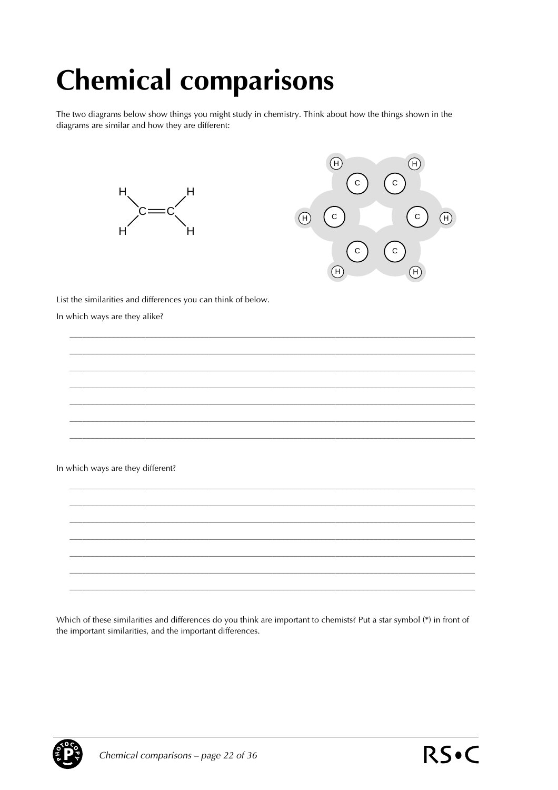The two diagrams below show things you might study in chemistry. Think about how the things shown in the diagrams are similar and how they are different:





List the similarities and differences you can think of below.

In which ways are they alike?

In which ways are they different?

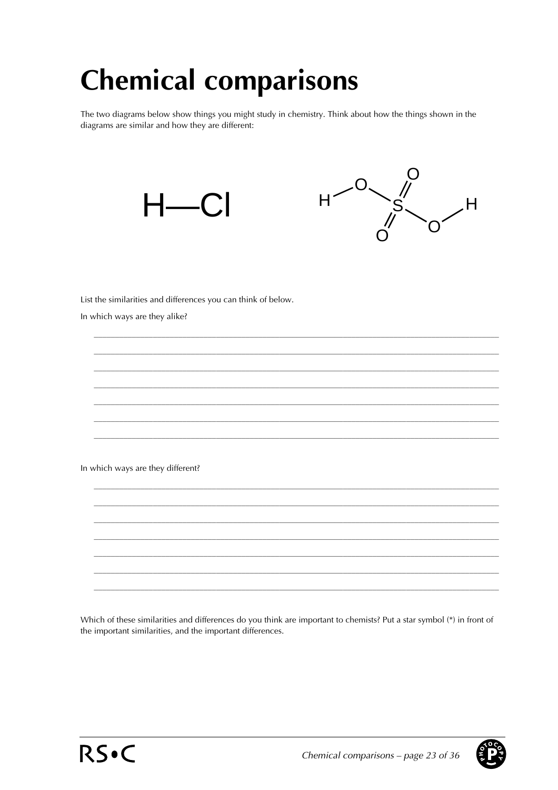The two diagrams below show things you might study in chemistry. Think about how the things shown in the diagrams are similar and how they are different:



List the similarities and differences you can think of below.

In which ways are they alike?

In which ways are they different?



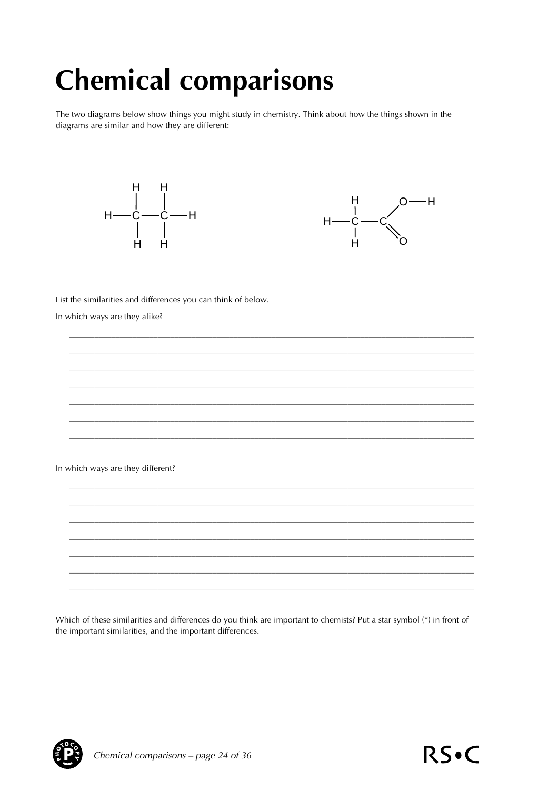The two diagrams below show things you might study in chemistry. Think about how the things shown in the diagrams are similar and how they are different:





List the similarities and differences you can think of below.

In which ways are they alike?

In which ways are they different?

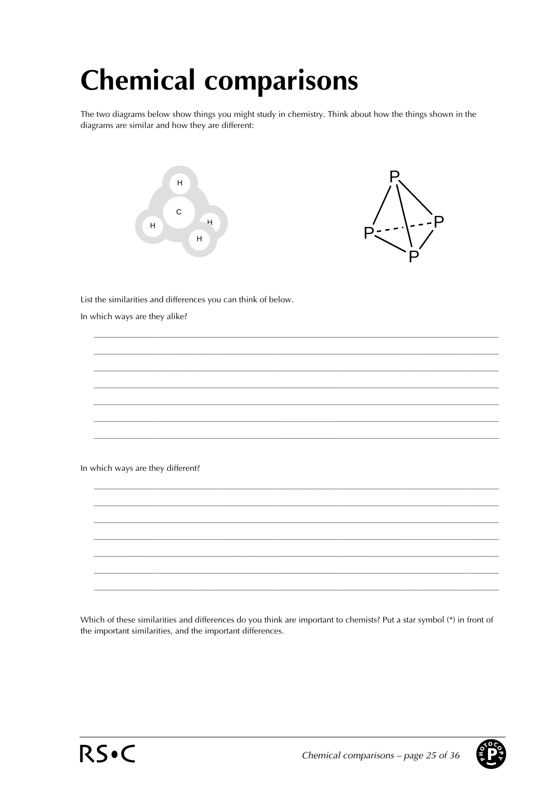The two diagrams below show things you might study in chemistry. Think about how the things shown in the diagrams are similar and how they are different:





List the similarities and differences you can think of below.

In which ways are they alike?

In which ways are they different?



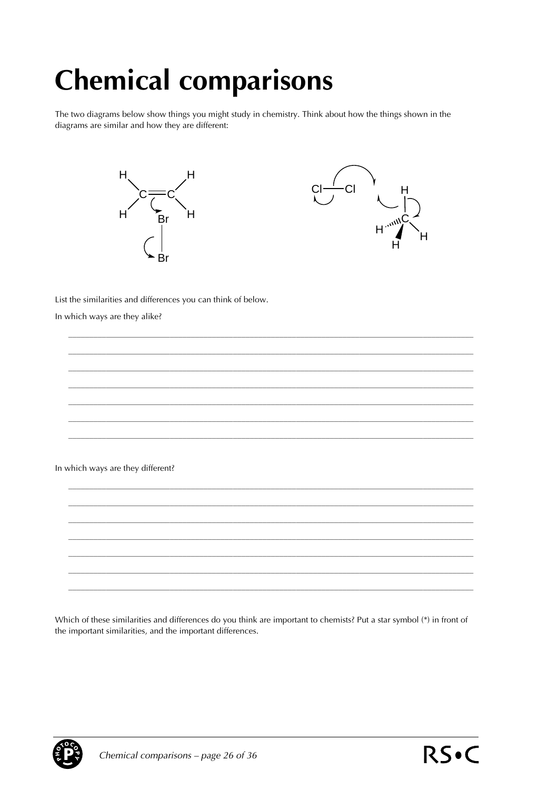The two diagrams below show things you might study in chemistry. Think about how the things shown in the diagrams are similar and how they are different:





List the similarities and differences you can think of below.

In which ways are they alike?

In which ways are they different?

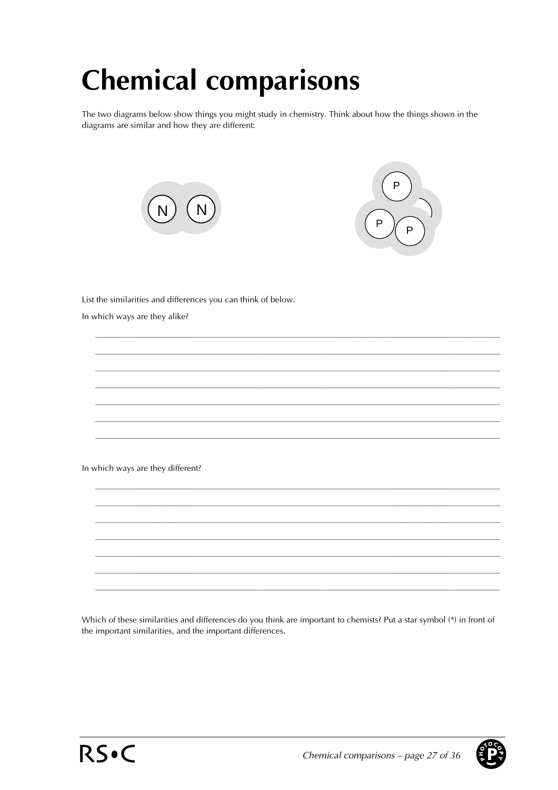The two diagrams below show things you might study in chemistry. Think about how the things shown in the diagrams are similar and how they are different:





List the similarities and differences you can think of below.

In which ways are they alike?

In which ways are they different?



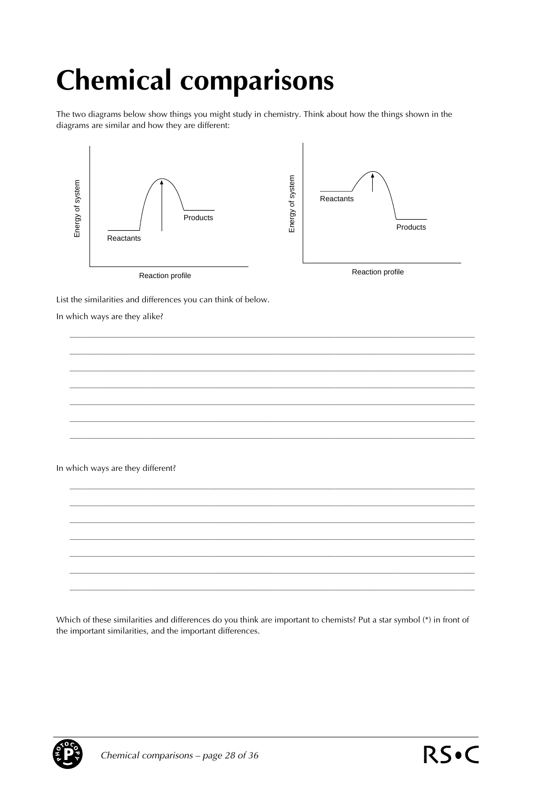The two diagrams below show things you might study in chemistry. Think about how the things shown in the diagrams are similar and how they are different:



List the similarities and differences you can think of below.

In which ways are they alike?

In which ways are they different?

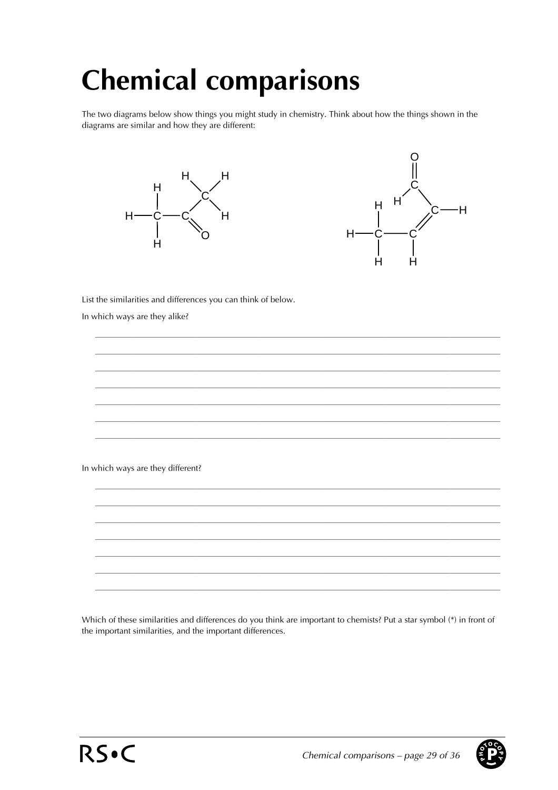The two diagrams below show things you might study in chemistry. Think about how the things shown in the diagrams are similar and how they are different:





List the similarities and differences you can think of below.

In which ways are they alike?

In which ways are they different?



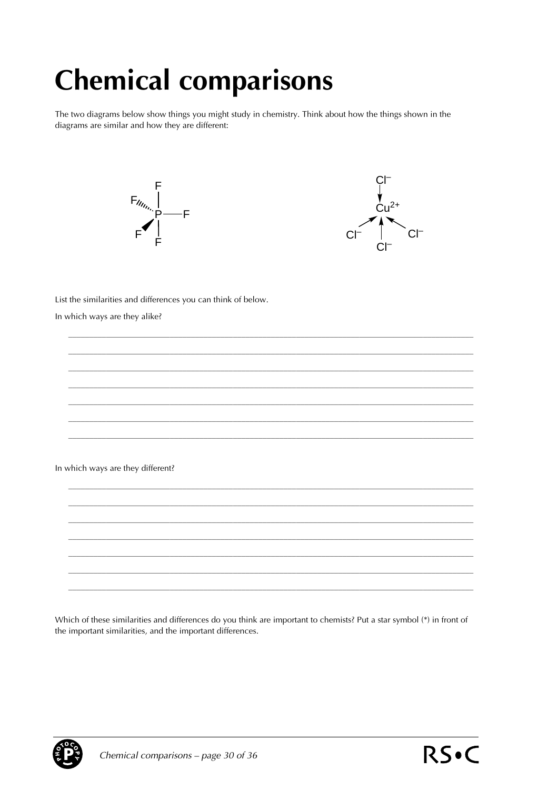The two diagrams below show things you might study in chemistry. Think about how the things shown in the diagrams are similar and how they are different:





List the similarities and differences you can think of below.

In which ways are they alike?

In which ways are they different?

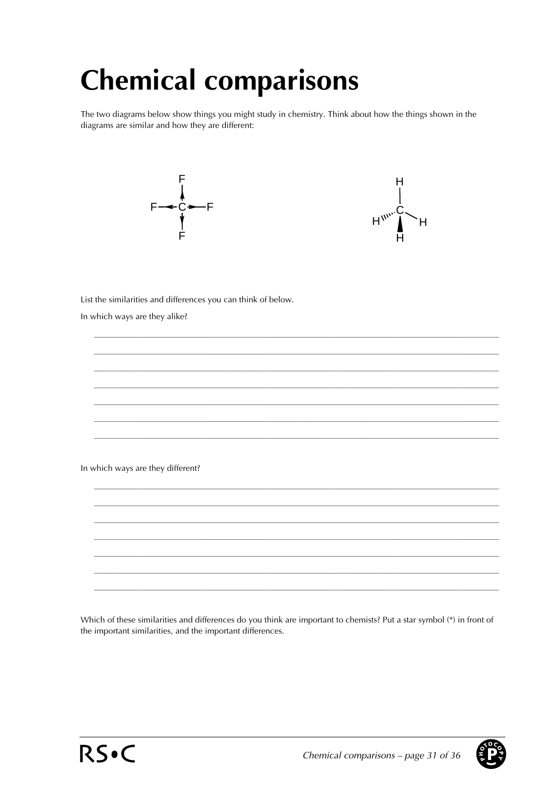The two diagrams below show things you might study in chemistry. Think about how the things shown in the diagrams are similar and how they are different:





List the similarities and differences you can think of below.

In which ways are they alike?

In which ways are they different?



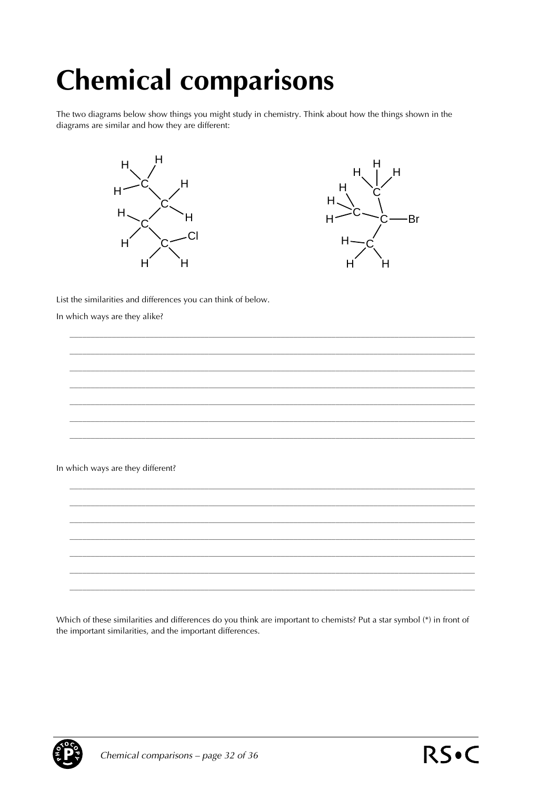The two diagrams below show things you might study in chemistry. Think about how the things shown in the diagrams are similar and how they are different:





List the similarities and differences you can think of below.

In which ways are they alike?

In which ways are they different?

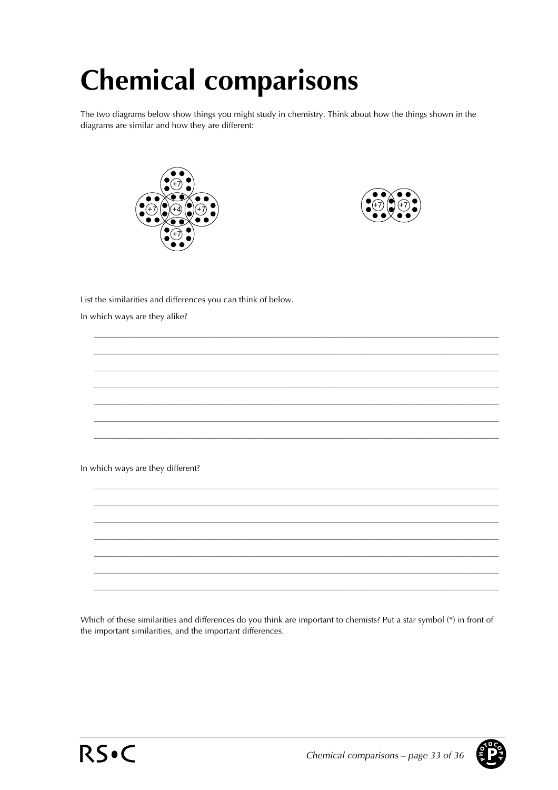The two diagrams below show things you might study in chemistry. Think about how the things shown in the diagrams are similar and how they are different:





List the similarities and differences you can think of below.

In which ways are they alike?

In which ways are they different?



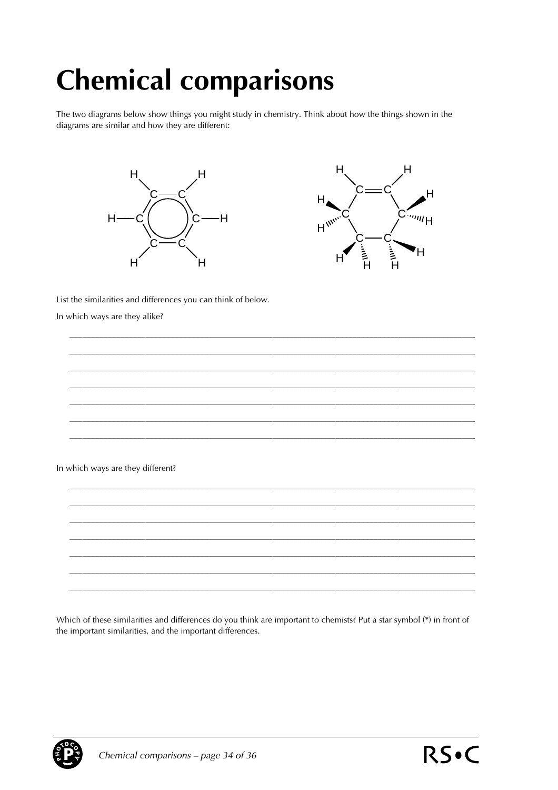The two diagrams below show things you might study in chemistry. Think about how the things shown in the diagrams are similar and how they are different:





List the similarities and differences you can think of below.

In which ways are they alike?

In which ways are they different?

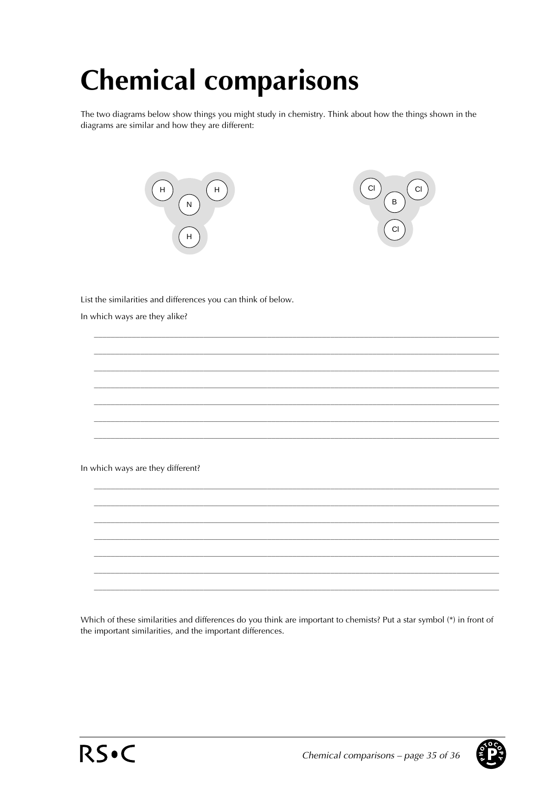The two diagrams below show things you might study in chemistry. Think about how the things shown in the diagrams are similar and how they are different:



List the similarities and differences you can think of below.

In which ways are they alike?

In which ways are they different?